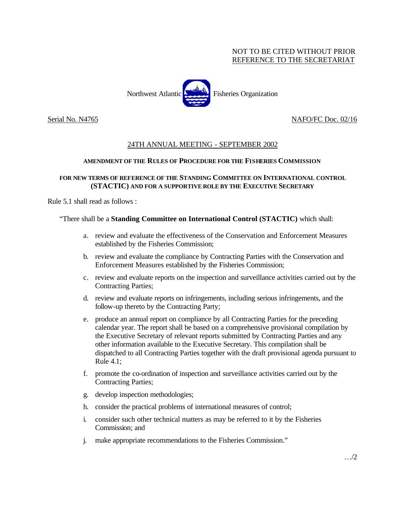## NOT TO BE CITED WITHOUT PRIOR REFERENCE TO THE SECRETARIAT



## Serial No. N4765 NAFO/FC Doc. 02/16

# 24TH ANNUAL MEETING - SEPTEMBER 2002

#### **AMENDMENT OF THE RULES OF PROCEDURE FOR THE FISHERIES COMMISSION**

### **FOR NEW TERMS OF REFERENCE OF THE STANDING COMMITTEE ON INTERNATIONAL CONTROL (STACTIC) AND FOR A SUPPORTIVE ROLE BY THE EXECUTIVE SECRETARY**

Rule 5.1 shall read as follows :

"There shall be a **Standing Committee on International Control (STACTIC)** which shall:

- a. review and evaluate the effectiveness of the Conservation and Enforcement Measures established by the Fisheries Commission;
- b. review and evaluate the compliance by Contracting Parties with the Conservation and Enforcement Measures established by the Fisheries Commission;
- c. review and evaluate reports on the inspection and surveillance activities carried out by the Contracting Parties;
- d. review and evaluate reports on infringements, including serious infringements, and the follow-up thereto by the Contracting Party;
- e. produce an annual report on compliance by all Contracting Parties for the preceding calendar year. The report shall be based on a comprehensive provisional compilation by the Executive Secretary of relevant reports submitted by Contracting Parties and any other information available to the Executive Secretary. This compilation shall be dispatched to all Contracting Parties together with the draft provisional agenda pursuant to Rule 4.1;
- f. promote the co-ordination of inspection and surveillance activities carried out by the Contracting Parties;
- g. develop inspection methodologies;
- h. consider the practical problems of international measures of control;
- i. consider such other technical matters as may be referred to it by the Fisheries Commission; and
- j. make appropriate recommendations to the Fisheries Commission."